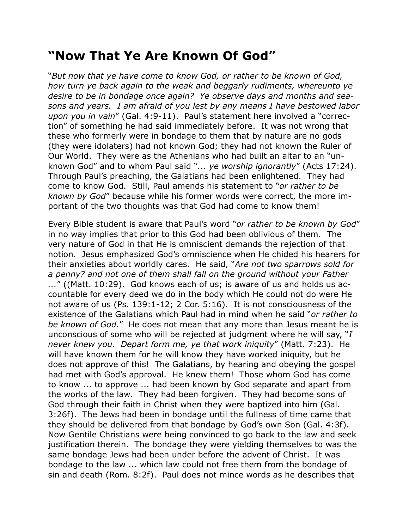## **"Now That Ye Are Known Of God"**

"*But now that ye have come to know God, or rather to be known of God, how turn ye back again to the weak and beggarly rudiments, whereunto ye desire to be in bondage once again? Ye observe days and months and seasons and years. I am afraid of you lest by any means I have bestowed labor upon you in vain*" (Gal. 4:9-11). Paul's statement here involved a "correction" of something he had said immediately before. It was not wrong that these who formerly were in bondage to them that by nature are no gods (they were idolaters) had not known God; they had not known the Ruler of Our World. They were as the Athenians who had built an altar to an "unknown God" and to whom Paul said "*... ye worship ignorantly*" (Acts 17:24). Through Paul's preaching, the Galatians had been enlightened. They had come to know God. Still, Paul amends his statement to "*or rather to be known by God*" because while his former words were correct, the more important of the two thoughts was that God had come to know them!

Every Bible student is aware that Paul's word "*or rather to be known by God*" in no way implies that prior to this God had been oblivious of them. The very nature of God in that He is omniscient demands the rejection of that notion. Jesus emphasized God's omniscience when He chided his hearers for their anxieties about worldly cares. He said, "*Are not two sparrows sold for a penny? and not one of them shall fall on the ground without your Father ...*" ((Matt. 10:29). God knows each of us; is aware of us and holds us accountable for every deed we do in the body which He could not do were He not aware of us (Ps. 139:1-12; 2 Cor. 5:16). It is not consciousness of the existence of the Galatians which Paul had in mind when he said "*or rather to be known of God.*" He does not mean that any more than Jesus meant he is unconscious of some who will be rejected at judgment where he will say, "*I never knew you. Depart form me, ye that work iniquity*" (Matt. 7:23). He will have known them for he will know they have worked iniquity, but he does not approve of this! The Galatians, by hearing and obeying the gospel had met with God's approval. He knew them! Those whom God has come to know ... to approve ... had been known by God separate and apart from the works of the law. They had been forgiven. They had become sons of God through their faith in Christ when they were baptized into him (Gal. 3:26f). The Jews had been in bondage until the fullness of time came that they should be delivered from that bondage by God's own Son (Gal. 4:3f). Now Gentile Christians were being convinced to go back to the law and seek justification therein. The bondage they were yielding themselves to was the same bondage Jews had been under before the advent of Christ. It was bondage to the law ... which law could not free them from the bondage of sin and death (Rom. 8:2f). Paul does not mince words as he describes that